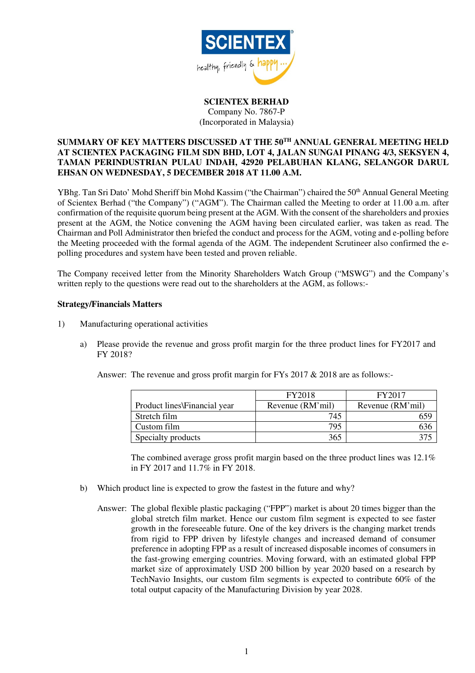

**SCIENTEX BERHAD**  Company No. 7867-P (Incorporated in Malaysia)

## **SUMMARY OF KEY MATTERS DISCUSSED AT THE 50TH ANNUAL GENERAL MEETING HELD AT SCIENTEX PACKAGING FILM SDN BHD, LOT 4, JALAN SUNGAI PINANG 4/3, SEKSYEN 4, TAMAN PERINDUSTRIAN PULAU INDAH, 42920 PELABUHAN KLANG, SELANGOR DARUL EHSAN ON WEDNESDAY, 5 DECEMBER 2018 AT 11.00 A.M.**

YBhg. Tan Sri Dato' Mohd Sheriff bin Mohd Kassim ("the Chairman") chaired the 50<sup>th</sup> Annual General Meeting of Scientex Berhad ("the Company") ("AGM"). The Chairman called the Meeting to order at 11.00 a.m. after confirmation of the requisite quorum being present at the AGM. With the consent of the shareholders and proxies present at the AGM, the Notice convening the AGM having been circulated earlier, was taken as read. The Chairman and Poll Administrator then briefed the conduct and process for the AGM, voting and e-polling before the Meeting proceeded with the formal agenda of the AGM. The independent Scrutineer also confirmed the epolling procedures and system have been tested and proven reliable.

The Company received letter from the Minority Shareholders Watch Group ("MSWG") and the Company's written reply to the questions were read out to the shareholders at the AGM, as follows:-

## **Strategy/Financials Matters**

- 1) Manufacturing operational activities
	- a) Please provide the revenue and gross profit margin for the three product lines for FY2017 and FY 2018?

|                              | FY2018           | FY2017           |
|------------------------------|------------------|------------------|
| Product lines Financial year | Revenue (RM'mil) | Revenue (RM'mil) |
| Stretch film                 | 745              |                  |
| Custom film                  | 795              |                  |
| Specialty products           | 365              |                  |

Answer: The revenue and gross profit margin for FYs 2017 & 2018 are as follows:-

 The combined average gross profit margin based on the three product lines was 12.1% in FY 2017 and 11.7% in FY 2018.

- b) Which product line is expected to grow the fastest in the future and why?
	- Answer: The global flexible plastic packaging ("FPP") market is about 20 times bigger than the global stretch film market. Hence our custom film segment is expected to see faster growth in the foreseeable future. One of the key drivers is the changing market trends from rigid to FPP driven by lifestyle changes and increased demand of consumer preference in adopting FPP as a result of increased disposable incomes of consumers in the fast-growing emerging countries. Moving forward, with an estimated global FPP market size of approximately USD 200 billion by year 2020 based on a research by TechNavio Insights, our custom film segments is expected to contribute 60% of the total output capacity of the Manufacturing Division by year 2028.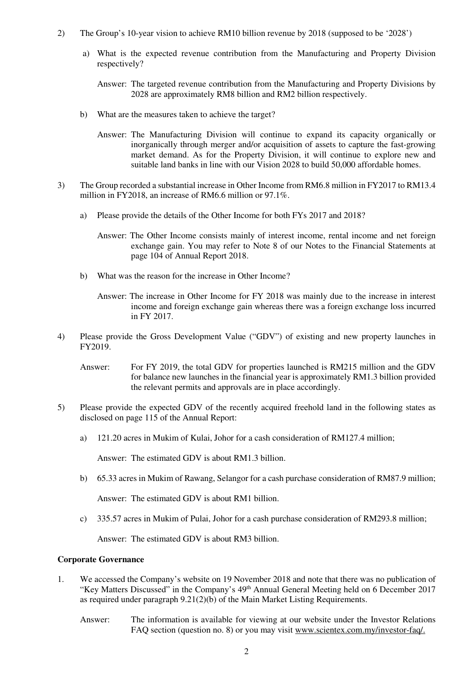- 2) The Group's 10-year vision to achieve RM10 billion revenue by 2018 (supposed to be '2028')
	- a) What is the expected revenue contribution from the Manufacturing and Property Division respectively?

Answer: The targeted revenue contribution from the Manufacturing and Property Divisions by 2028 are approximately RM8 billion and RM2 billion respectively.

- b) What are the measures taken to achieve the target?
	- Answer: The Manufacturing Division will continue to expand its capacity organically or inorganically through merger and/or acquisition of assets to capture the fast-growing market demand. As for the Property Division, it will continue to explore new and suitable land banks in line with our Vision 2028 to build 50,000 affordable homes.
- 3) The Group recorded a substantial increase in Other Income from RM6.8 million in FY2017 to RM13.4 million in FY2018, an increase of RM6.6 million or 97.1%.
	- a) Please provide the details of the Other Income for both FYs 2017 and 2018?
		- Answer: The Other Income consists mainly of interest income, rental income and net foreign exchange gain. You may refer to Note 8 of our Notes to the Financial Statements at page 104 of Annual Report 2018.
	- b) What was the reason for the increase in Other Income?
		- Answer: The increase in Other Income for FY 2018 was mainly due to the increase in interest income and foreign exchange gain whereas there was a foreign exchange loss incurred in FY 2017.
- 4) Please provide the Gross Development Value ("GDV") of existing and new property launches in FY2019.
	- Answer: For FY 2019, the total GDV for properties launched is RM215 million and the GDV for balance new launches in the financial year is approximately RM1.3 billion provided the relevant permits and approvals are in place accordingly.
- 5) Please provide the expected GDV of the recently acquired freehold land in the following states as disclosed on page 115 of the Annual Report:
	- a) 121.20 acres in Mukim of Kulai, Johor for a cash consideration of RM127.4 million;

Answer: The estimated GDV is about RM1.3 billion.

b) 65.33 acres in Mukim of Rawang, Selangor for a cash purchase consideration of RM87.9 million;

Answer: The estimated GDV is about RM1 billion.

c) 335.57 acres in Mukim of Pulai, Johor for a cash purchase consideration of RM293.8 million;

Answer: The estimated GDV is about RM3 billion.

## **Corporate Governance**

- 1. We accessed the Company's website on 19 November 2018 and note that there was no publication of "Key Matters Discussed" in the Company's 49<sup>th</sup> Annual General Meeting held on 6 December 2017 as required under paragraph  $9.21(2)(b)$  of the Main Market Listing Requirements.
	- Answer: The information is available for viewing at our website under the Investor Relations FAQ section (question no. 8) or you may visit www.scientex.com.my/investor-faq/.